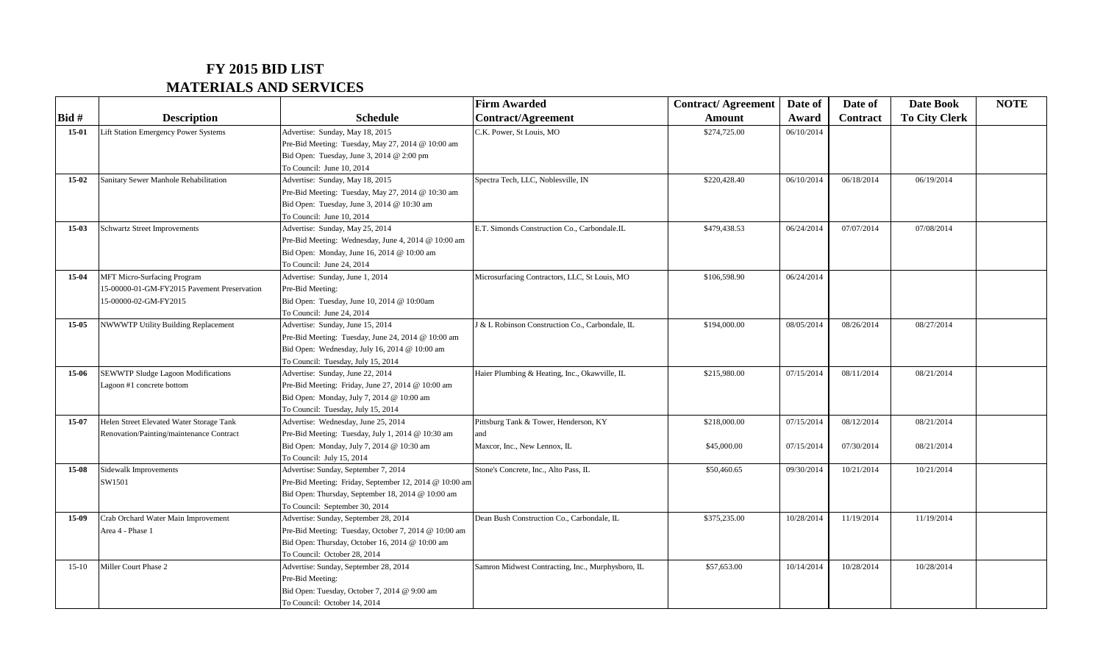## **FY 2015 BID LIST MATERIALS AND SERVICES**

|           |                                             |                                                                   | <b>Firm Awarded</b>                               | <b>Contract/Agreement</b> | Date of    | Date of         | Date Book            | <b>NOTE</b> |
|-----------|---------------------------------------------|-------------------------------------------------------------------|---------------------------------------------------|---------------------------|------------|-----------------|----------------------|-------------|
| Bid#      | <b>Description</b>                          | <b>Schedule</b>                                                   | <b>Contract/Agreement</b>                         | Amount                    | Award      | <b>Contract</b> | <b>To City Clerk</b> |             |
| $15-01$   | Lift Station Emergency Power Systems        | Advertise: Sunday, May 18, 2015                                   | C.K. Power, St Louis, MO                          | \$274,725.00              | 06/10/2014 |                 |                      |             |
|           |                                             | Pre-Bid Meeting: Tuesday, May 27, 2014 @ 10:00 am                 |                                                   |                           |            |                 |                      |             |
|           |                                             | Bid Open: Tuesday, June 3, 2014 @ 2:00 pm                         |                                                   |                           |            |                 |                      |             |
|           |                                             | To Council: June 10, 2014                                         |                                                   |                           |            |                 |                      |             |
| $15-02$   | Sanitary Sewer Manhole Rehabilitation       | Advertise: Sunday, May 18, 2015                                   | Spectra Tech, LLC, Noblesville, IN                | \$220,428.40              | 06/10/2014 | 06/18/2014      | 06/19/2014           |             |
|           |                                             | Pre-Bid Meeting: Tuesday, May 27, 2014 @ 10:30 am                 |                                                   |                           |            |                 |                      |             |
|           |                                             | Bid Open: Tuesday, June 3, 2014 @ 10:30 am                        |                                                   |                           |            |                 |                      |             |
|           |                                             | To Council: June 10, 2014                                         |                                                   |                           |            |                 |                      |             |
| $15-03$   | <b>Schwartz Street Improvements</b>         | Advertise: Sunday, May 25, 2014                                   | E.T. Simonds Construction Co., Carbondale.IL      | \$479,438.53              | 06/24/2014 | 07/07/2014      | 07/08/2014           |             |
|           |                                             | Pre-Bid Meeting: Wednesday, June 4, 2014 @ 10:00 am               |                                                   |                           |            |                 |                      |             |
|           |                                             | Bid Open: Monday, June 16, 2014 @ 10:00 am                        |                                                   |                           |            |                 |                      |             |
|           |                                             | To Council: June 24, 2014                                         |                                                   |                           |            |                 |                      |             |
| 15-04     | MFT Micro-Surfacing Program                 | Advertise: Sunday, June 1, 2014                                   | Microsurfacing Contractors, LLC, St Louis, MO     | \$106,598.90              | 06/24/2014 |                 |                      |             |
|           | 15-00000-01-GM-FY2015 Pavement Preservation | Pre-Bid Meeting:                                                  |                                                   |                           |            |                 |                      |             |
|           | 15-00000-02-GM-FY2015                       | Bid Open: Tuesday, June 10, 2014 @ 10:00am                        |                                                   |                           |            |                 |                      |             |
|           |                                             | To Council: June 24, 2014                                         |                                                   |                           |            |                 |                      |             |
| $15 - 05$ | NWWWTP Utility Building Replacement         | Advertise: Sunday, June 15, 2014                                  | J & L Robinson Construction Co., Carbondale, IL   | \$194,000.00              | 08/05/2014 | 08/26/2014      | 08/27/2014           |             |
|           |                                             | Pre-Bid Meeting: Tuesday, June 24, 2014 @ 10:00 am                |                                                   |                           |            |                 |                      |             |
|           |                                             | Bid Open: Wednesday, July 16, 2014 @ 10:00 am                     |                                                   |                           |            |                 |                      |             |
|           |                                             | To Council: Tuesday, July 15, 2014                                |                                                   |                           |            |                 |                      |             |
| 15-06     | <b>SEWWTP Sludge Lagoon Modifications</b>   | Advertise: Sunday, June 22, 2014                                  | Haier Plumbing & Heating, Inc., Okawville, IL     | \$215,980.00              | 07/15/2014 | 08/11/2014      | 08/21/2014           |             |
|           | Lagoon #1 concrete bottom                   | Pre-Bid Meeting: Friday, June 27, 2014 @ 10:00 am                 |                                                   |                           |            |                 |                      |             |
|           |                                             | Bid Open: Monday, July 7, 2014 @ 10:00 am                         |                                                   |                           |            |                 |                      |             |
|           |                                             | To Council: Tuesday, July 15, 2014                                |                                                   |                           |            |                 |                      |             |
| 15-07     | Helen Street Elevated Water Storage Tank    | Advertise: Wednesday, June 25, 2014                               | Pittsburg Tank & Tower, Henderson, KY             | \$218,000.00              | 07/15/2014 | 08/12/2014      | 08/21/2014           |             |
|           | Renovation/Painting/maintenance Contract    | Pre-Bid Meeting: Tuesday, July 1, 2014 @ 10:30 am                 | and                                               |                           |            |                 |                      |             |
|           |                                             | Bid Open: Monday, July 7, 2014 @ 10:30 am                         | Maxcor, Inc., New Lennox, IL                      | \$45,000.00               | 07/15/2014 | 07/30/2014      | 08/21/2014           |             |
| $15-08$   | Sidewalk Improvements                       | To Council: July 15, 2014<br>Advertise: Sunday, September 7, 2014 | Stone's Concrete, Inc., Alto Pass, IL             | \$50,460.65               | 09/30/2014 | 10/21/2014      | 10/21/2014           |             |
|           | SW1501                                      | Pre-Bid Meeting: Friday, September 12, 2014 @ 10:00 am            |                                                   |                           |            |                 |                      |             |
|           |                                             | Bid Open: Thursday, September 18, 2014 @ 10:00 am                 |                                                   |                           |            |                 |                      |             |
|           |                                             | To Council: September 30, 2014                                    |                                                   |                           |            |                 |                      |             |
| 15-09     | Crab Orchard Water Main Improvement         | Advertise: Sunday, September 28, 2014                             | Dean Bush Construction Co., Carbondale, IL        | \$375,235.00              | 10/28/2014 | 11/19/2014      | 11/19/2014           |             |
|           | Area 4 - Phase 1                            | Pre-Bid Meeting: Tuesday, October 7, 2014 @ 10:00 am              |                                                   |                           |            |                 |                      |             |
|           |                                             | Bid Open: Thursday, October 16, 2014 @ 10:00 am                   |                                                   |                           |            |                 |                      |             |
|           |                                             | To Council: October 28, 2014                                      |                                                   |                           |            |                 |                      |             |
| $15-10$   | Miller Court Phase 2                        | Advertise: Sunday, September 28, 2014                             | Samron Midwest Contracting, Inc., Murphysboro, IL | \$57,653.00               | 10/14/2014 | 10/28/2014      | 10/28/2014           |             |
|           |                                             | Pre-Bid Meeting:                                                  |                                                   |                           |            |                 |                      |             |
|           |                                             | Bid Open: Tuesday, October 7, 2014 @ 9:00 am                      |                                                   |                           |            |                 |                      |             |
|           |                                             | To Council: October 14, 2014                                      |                                                   |                           |            |                 |                      |             |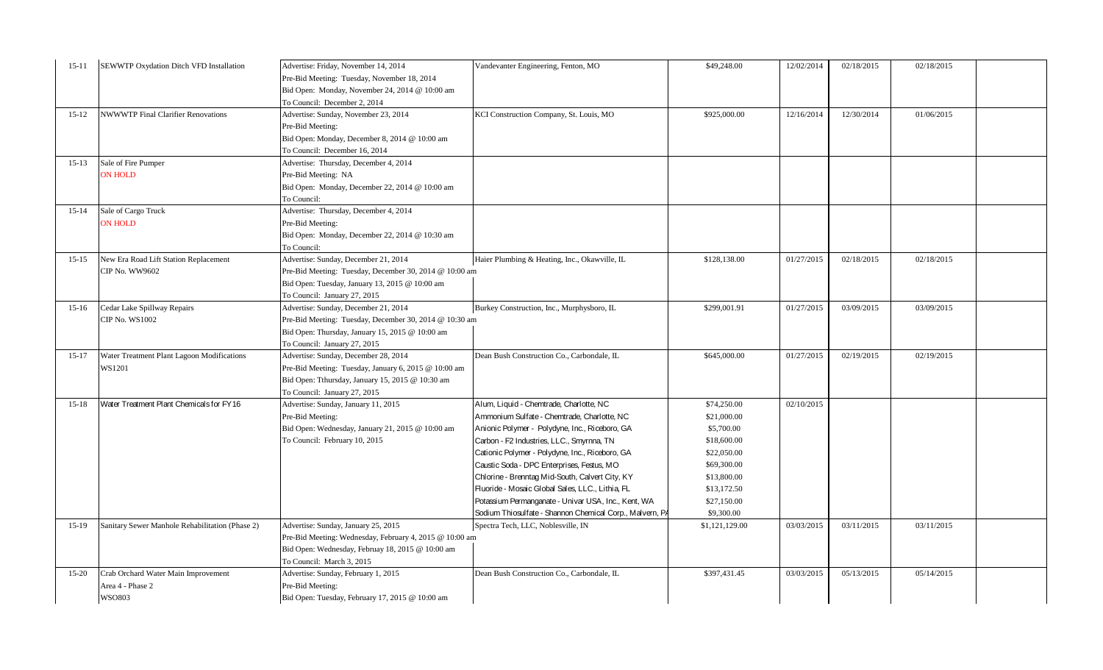| $15 - 11$ | SEWWTP Oxydation Ditch VFD Installation         | Advertise: Friday, November 14, 2014                    | Vandevanter Engineering, Fenton, MO                      | \$49,248.00    | 12/02/2014 | 02/18/2015 | 02/18/2015 |  |
|-----------|-------------------------------------------------|---------------------------------------------------------|----------------------------------------------------------|----------------|------------|------------|------------|--|
|           |                                                 | Pre-Bid Meeting: Tuesday, November 18, 2014             |                                                          |                |            |            |            |  |
|           |                                                 | Bid Open: Monday, November 24, 2014 @ 10:00 am          |                                                          |                |            |            |            |  |
|           |                                                 | To Council: December 2, 2014                            |                                                          |                |            |            |            |  |
| $15 - 12$ | <b>NWWWTP Final Clarifier Renovations</b>       | Advertise: Sunday, November 23, 2014                    | KCI Construction Company, St. Louis, MO                  | \$925,000.00   | 12/16/2014 | 12/30/2014 | 01/06/2015 |  |
|           |                                                 | Pre-Bid Meeting:                                        |                                                          |                |            |            |            |  |
|           |                                                 | Bid Open: Monday, December 8, 2014 @ 10:00 am           |                                                          |                |            |            |            |  |
|           |                                                 | To Council: December 16, 2014                           |                                                          |                |            |            |            |  |
| $15 - 13$ | Sale of Fire Pumper                             | Advertise: Thursday, December 4, 2014                   |                                                          |                |            |            |            |  |
|           | <b>ON HOLD</b>                                  | Pre-Bid Meeting: NA                                     |                                                          |                |            |            |            |  |
|           |                                                 | Bid Open: Monday, December 22, 2014 @ 10:00 am          |                                                          |                |            |            |            |  |
|           |                                                 | To Council:                                             |                                                          |                |            |            |            |  |
| $15-14$   | Sale of Cargo Truck                             | Advertise: Thursday, December 4, 2014                   |                                                          |                |            |            |            |  |
|           | <b>ON HOLD</b>                                  | Pre-Bid Meeting:                                        |                                                          |                |            |            |            |  |
|           |                                                 | Bid Open: Monday, December 22, 2014 @ 10:30 am          |                                                          |                |            |            |            |  |
|           |                                                 | To Council:                                             |                                                          |                |            |            |            |  |
| $15-15$   | New Era Road Lift Station Replacement           | Advertise: Sunday, December 21, 2014                    | Haier Plumbing & Heating, Inc., Okawville, IL            | \$128,138.00   | 01/27/2015 | 02/18/2015 | 02/18/2015 |  |
|           | CIP No. WW9602                                  | Pre-Bid Meeting: Tuesday, December 30, 2014 @ 10:00 am  |                                                          |                |            |            |            |  |
|           |                                                 | Bid Open: Tuesday, January 13, 2015 @ 10:00 am          |                                                          |                |            |            |            |  |
|           |                                                 | To Council: January 27, 2015                            |                                                          |                |            |            |            |  |
| $15-16$   | Cedar Lake Spillway Repairs                     | Advertise: Sunday, December 21, 2014                    | Burkey Construction, Inc., Murphysboro, IL               | \$299,001.91   | 01/27/2015 | 03/09/2015 | 03/09/2015 |  |
|           | <b>CIP No. WS1002</b>                           | Pre-Bid Meeting: Tuesday, December 30, 2014 @ 10:30 am  |                                                          |                |            |            |            |  |
|           |                                                 | Bid Open: Thursday, January 15, 2015 @ 10:00 am         |                                                          |                |            |            |            |  |
|           |                                                 | To Council: January 27, 2015                            |                                                          |                |            |            |            |  |
| $15-17$   | Water Treatment Plant Lagoon Modifications      | Advertise: Sunday, December 28, 2014                    | Dean Bush Construction Co., Carbondale, IL               | \$645,000.00   | 01/27/2015 | 02/19/2015 | 02/19/2015 |  |
|           | WS1201                                          | Pre-Bid Meeting: Tuesday, January 6, 2015 @ 10:00 am    |                                                          |                |            |            |            |  |
|           |                                                 | Bid Open: Tthursday, January 15, 2015 @ 10:30 am        |                                                          |                |            |            |            |  |
|           |                                                 | To Council: January 27, 2015                            |                                                          |                |            |            |            |  |
| $15 - 18$ | Water Treatment Plant Chemicals for FY16        | Advertise: Sunday, January 11, 2015                     | Alum, Liquid - Chemtrade, Charlotte, NC                  | \$74,250.00    | 02/10/2015 |            |            |  |
|           |                                                 | Pre-Bid Meeting:                                        | Ammonium Sulfate - Chemtrade, Charlotte, NC              | \$21,000.00    |            |            |            |  |
|           |                                                 | Bid Open: Wednesday, January 21, 2015 @ 10:00 am        | Anionic Polymer - Polydyne, Inc., Riceboro, GA           | \$5,700.00     |            |            |            |  |
|           |                                                 | To Council: February 10, 2015                           | Carbon - F2 Industries, LLC., Smyrnna, TN                | \$18,600.00    |            |            |            |  |
|           |                                                 |                                                         | Cationic Polymer - Polydyne, Inc., Riceboro, GA          | \$22,050.00    |            |            |            |  |
|           |                                                 |                                                         | Caustic Soda - DPC Enterprises, Festus, MO               | \$69,300.00    |            |            |            |  |
|           |                                                 |                                                         | Chlorine - Brenntag Mid-South, Calvert City, KY          | \$13,800.00    |            |            |            |  |
|           |                                                 |                                                         | Fluoride - Mosaic Global Sales, LLC., Lithia, FL         | \$13,172.50    |            |            |            |  |
|           |                                                 |                                                         | Potassium Permanganate - Univar USA, Inc., Kent, WA      | \$27,150.00    |            |            |            |  |
|           |                                                 |                                                         | Sodium Thiosulfate - Shannon Chemical Corp., Malvern, PA | \$9,300.00     |            |            |            |  |
| $15-19$   | Sanitary Sewer Manhole Rehabilitation (Phase 2) | Advertise: Sunday, January 25, 2015                     | Spectra Tech, LLC, Noblesville, IN                       | \$1,121,129.00 | 03/03/2015 | 03/11/2015 | 03/11/2015 |  |
|           |                                                 | Pre-Bid Meeting: Wednesday, February 4, 2015 @ 10:00 am |                                                          |                |            |            |            |  |
|           |                                                 | Bid Open: Wednesday, Februay 18, 2015 @ 10:00 am        |                                                          |                |            |            |            |  |
|           |                                                 | To Council: March 3, 2015                               |                                                          |                |            |            |            |  |
| $15-20$   | Crab Orchard Water Main Improvement             | Advertise: Sunday, February 1, 2015                     | Dean Bush Construction Co., Carbondale, IL               | \$397,431.45   | 03/03/2015 | 05/13/2015 | 05/14/2015 |  |
|           | Area 4 - Phase 2                                | Pre-Bid Meeting:                                        |                                                          |                |            |            |            |  |
|           | <b>WSO803</b>                                   | Bid Open: Tuesday, February 17, 2015 @ 10:00 am         |                                                          |                |            |            |            |  |